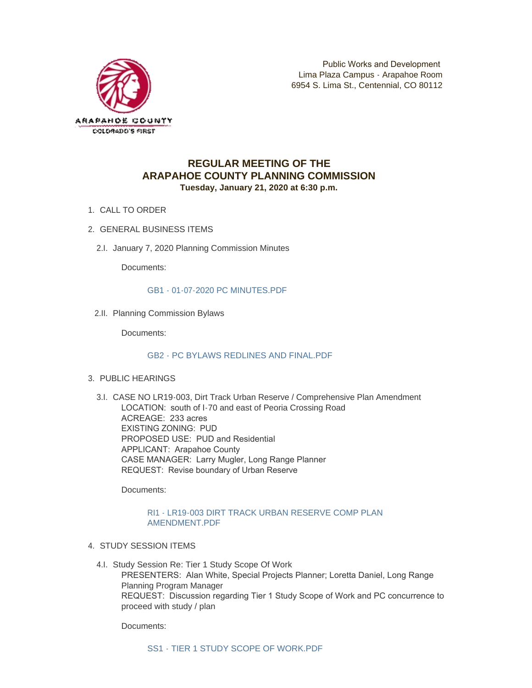

# **REGULAR MEETING OF THE ARAPAHOE COUNTY PLANNING COMMISSION Tuesday, January 21, 2020 at 6:30 p.m.**

- 1. CALL TO ORDER
- GENERAL BUSINESS ITEMS 2.
	- 2.I. January 7, 2020 Planning Commission Minutes

Documents:

[GB1 - 01-07-2020 PC MINUTES.PDF](http://www.arapahoegov.com/AgendaCenter/ViewFile/Item/11910?fileID=18958)

2.II. Planning Commission Bylaws

Documents:

#### [GB2 - PC BYLAWS REDLINES AND FINAL.PDF](http://www.arapahoegov.com/AgendaCenter/ViewFile/Item/11911?fileID=18959)

- PUBLIC HEARINGS 3.
	- 3.I. CASE NO LR19-003, Dirt Track Urban Reserve / Comprehensive Plan Amendment LOCATION: south of I-70 and east of Peoria Crossing Road ACREAGE: 233 acres EXISTING ZONING: PUD PROPOSED USE: PUD and Residential APPLICANT: Arapahoe County CASE MANAGER: Larry Mugler, Long Range Planner REQUEST: Revise boundary of Urban Reserve

Documents:

#### [RI1 - LR19-003 DIRT TRACK URBAN RESERVE COMP PLAN](http://www.arapahoegov.com/AgendaCenter/ViewFile/Item/11912?fileID=18960)  AMENDMENT.PDF

- 4. STUDY SESSION ITEMS
	- 4.I. Study Session Re: Tier 1 Study Scope Of Work PRESENTERS: Alan White, Special Projects Planner; Loretta Daniel, Long Range Planning Program Manager REQUEST: Discussion regarding Tier 1 Study Scope of Work and PC concurrence to proceed with study / plan

Documents: